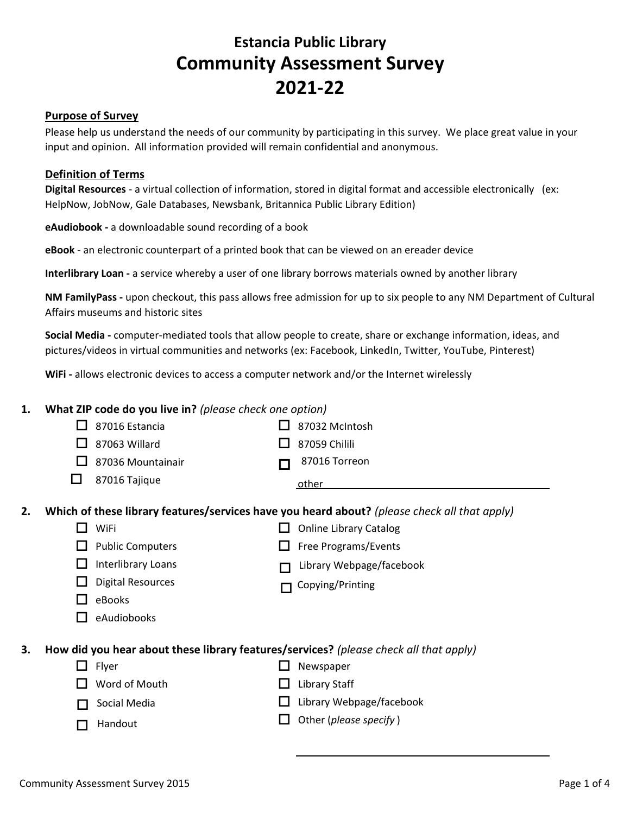## **Estancia Public Library Community Assessment Survey 2021-22**

#### **Purpose of Survey**

Please help us understand the needs of our community by participating in this survey. We place great value in your input and opinion. All information provided will remain confidential and anonymous.

#### **Definition of Terms**

**Digital Resources** - a virtual collection of information, stored in digital format and accessible electronically (ex: HelpNow, JobNow, Gale Databases, Newsbank, Britannica Public Library Edition)

**eAudiobook -** a downloadable sound recording of a book

**eBook** - an electronic counterpart of a printed book that can be viewed on an ereader device

**Interlibrary Loan -** a service whereby a user of one library borrows materials owned by another library

**NM FamilyPass -** upon checkout, this pass allows free admission for up to six people to any NM Department of Cultural Affairs museums and historic sites

**Social Media -** computer-mediated tools that allow people to create, share or exchange information, ideas, and pictures/videos in virtual communities and networks (ex: Facebook, LinkedIn, Twitter, YouTube, Pinterest)

**WiFi -** allows electronic devices to access a computer network and/or the Internet wirelessly

#### **1. What ZIP code do you live in?** *(please check one option)*

|                                                                                             |              | 87016 Estancia           |  | 87032 McIntosh                                                                               |  |
|---------------------------------------------------------------------------------------------|--------------|--------------------------|--|----------------------------------------------------------------------------------------------|--|
|                                                                                             |              | 87063 Willard            |  | 87059 Chilili                                                                                |  |
|                                                                                             | $\mathbf{I}$ | 87036 Mountainair        |  | 87016 Torreon                                                                                |  |
|                                                                                             | H            | 87016 Tajique            |  | other                                                                                        |  |
| 2.                                                                                          |              |                          |  | Which of these library features/services have you heard about? (please check all that apply) |  |
|                                                                                             |              | WiFi                     |  | <b>Online Library Catalog</b>                                                                |  |
|                                                                                             |              | <b>Public Computers</b>  |  | Free Programs/Events                                                                         |  |
|                                                                                             | $\mathsf{L}$ | Interlibrary Loans       |  | Library Webpage/facebook                                                                     |  |
|                                                                                             | ப            | <b>Digital Resources</b> |  | Copying/Printing                                                                             |  |
|                                                                                             | $\mathbf{I}$ | eBooks                   |  |                                                                                              |  |
|                                                                                             |              | eAudiobooks              |  |                                                                                              |  |
| 3.<br>How did you hear about these library features/services? (please check all that apply) |              |                          |  |                                                                                              |  |
|                                                                                             | ப            | Flyer                    |  | Newspaper                                                                                    |  |
|                                                                                             |              | Word of Mouth            |  | <b>Library Staff</b>                                                                         |  |
|                                                                                             | $\mathsf{L}$ | Social Media             |  | Library Webpage/facebook                                                                     |  |
|                                                                                             |              | Handout                  |  | Other (please specify)                                                                       |  |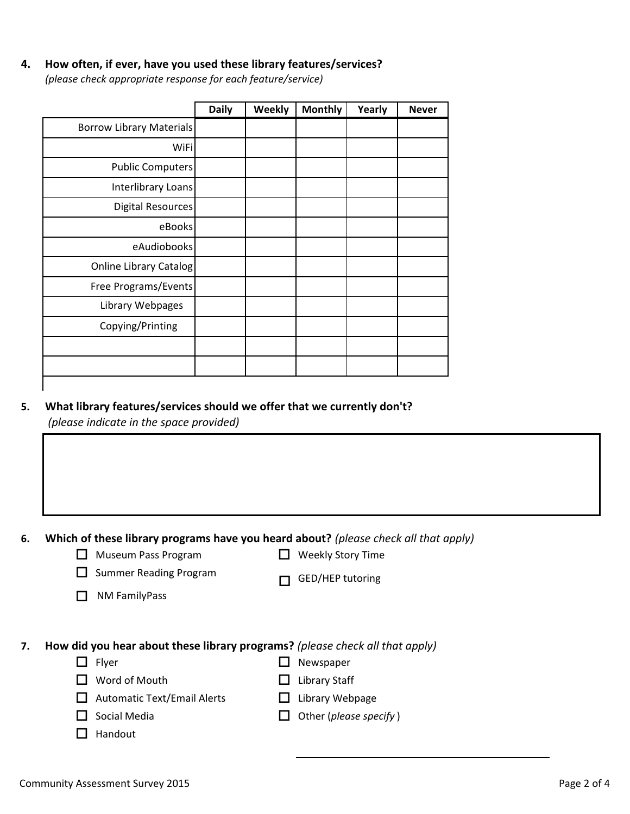#### **4. How often, if ever, have you used these library features/services?**

*(please check appropriate response for each feature/service)*

|                                 | <b>Daily</b> | Weekly | <b>Monthly</b> | Yearly | <b>Never</b> |
|---------------------------------|--------------|--------|----------------|--------|--------------|
| <b>Borrow Library Materials</b> |              |        |                |        |              |
| <b>WiFi</b>                     |              |        |                |        |              |
| <b>Public Computers</b>         |              |        |                |        |              |
| Interlibrary Loans              |              |        |                |        |              |
| Digital Resources               |              |        |                |        |              |
| eBooks                          |              |        |                |        |              |
| eAudiobooks                     |              |        |                |        |              |
| Online Library Catalog          |              |        |                |        |              |
| Free Programs/Events            |              |        |                |        |              |
| Library Webpages                |              |        |                |        |              |
| Copying/Printing                |              |        |                |        |              |
|                                 |              |        |                |        |              |
|                                 |              |        |                |        |              |

#### **5. What library features/services should we offer that we currently don't?**

*(please indicate in the space provided)*

**6. Which of these library programs have you heard about?** *(please check all that apply)*

| $\Box$ Museum Pass Program |  |
|----------------------------|--|
|----------------------------|--|

 $\Box$  Weekly Story Time

 $\Box$  Summer Reading Program

 $\Box$  GED/HEP tutoring

 $\Box$  NM FamilyPass

**7. How did you hear about these library programs?** *(please check all that apply)*

- □ Flyer **D** Newspaper
- $\Box$  Word of Mouth  $\Box$  Library Staff
- $\Box$  Automatic Text/Email Alerts  $\Box$  Library Webpage
- □ Social Media **of Contract Contract Contract Contract** Other (*please specify*)
- $\Box$  Handout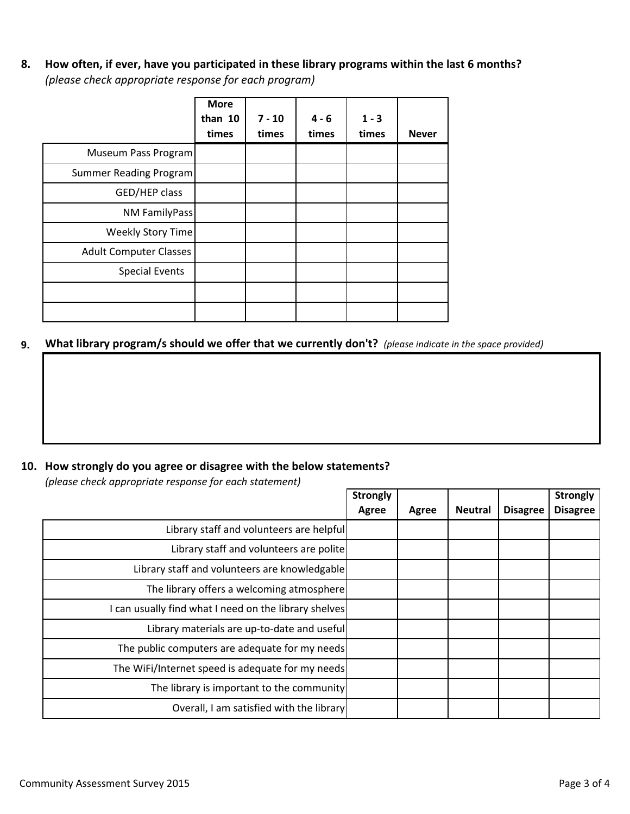**8. How often, if ever, have you participated in these library programs within the last 6 months?** *(please check appropriate response for each program)*

|                               | <b>More</b><br>than 10<br>times | $7 - 10$<br>times | $4 - 6$<br>times | $1 - 3$<br>times | <b>Never</b> |
|-------------------------------|---------------------------------|-------------------|------------------|------------------|--------------|
| Museum Pass Program           |                                 |                   |                  |                  |              |
| Summer Reading Program        |                                 |                   |                  |                  |              |
| GED/HEP class                 |                                 |                   |                  |                  |              |
| NM FamilyPass                 |                                 |                   |                  |                  |              |
| Weekly Story Time             |                                 |                   |                  |                  |              |
| <b>Adult Computer Classes</b> |                                 |                   |                  |                  |              |
| <b>Special Events</b>         |                                 |                   |                  |                  |              |
|                               |                                 |                   |                  |                  |              |
|                               |                                 |                   |                  |                  |              |

**9. What library program/s should we offer that we currently don't?** *(please indicate in the space provided)*

### **10. How strongly do you agree or disagree with the below statements?**

*(please check appropriate response for each statement)*

|                                                       | <b>Strongly</b> |       |                |                 | <b>Strongly</b> |
|-------------------------------------------------------|-----------------|-------|----------------|-----------------|-----------------|
|                                                       | Agree           | Agree | <b>Neutral</b> | <b>Disagree</b> | <b>Disagree</b> |
| Library staff and volunteers are helpful              |                 |       |                |                 |                 |
| Library staff and volunteers are polite               |                 |       |                |                 |                 |
| Library staff and volunteers are knowledgable         |                 |       |                |                 |                 |
| The library offers a welcoming atmosphere             |                 |       |                |                 |                 |
| I can usually find what I need on the library shelves |                 |       |                |                 |                 |
| Library materials are up-to-date and useful           |                 |       |                |                 |                 |
| The public computers are adequate for my needs        |                 |       |                |                 |                 |
| The WiFi/Internet speed is adequate for my needs      |                 |       |                |                 |                 |
| The library is important to the community             |                 |       |                |                 |                 |
| Overall, I am satisfied with the library              |                 |       |                |                 |                 |